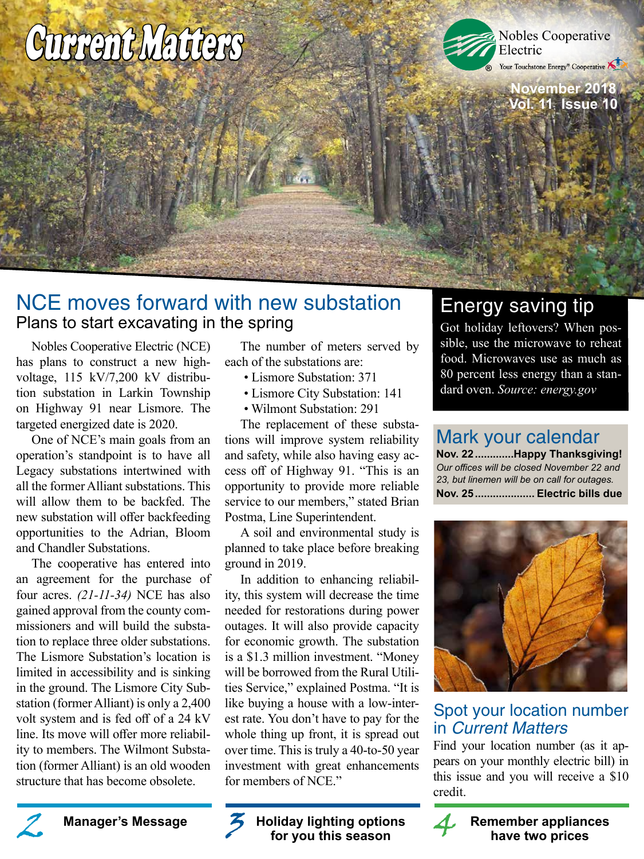# Current Matters



Your Touchstone Energy® Cooperative

**November 2018 Vol. 11 Issue 10**

# NCE moves forward with new substation Plans to start excavating in the spring

Nobles Cooperative Electric (NCE) has plans to construct a new highvoltage, 115 kV/7,200 kV distribution substation in Larkin Township on Highway 91 near Lismore. The targeted energized date is 2020.

One of NCE's main goals from an operation's standpoint is to have all Legacy substations intertwined with all the former Alliant substations. This will allow them to be backfed. The new substation will offer backfeeding opportunities to the Adrian, Bloom and Chandler Substations.

The cooperative has entered into an agreement for the purchase of four acres. *(21-11-34)* NCE has also gained approval from the county commissioners and will build the substation to replace three older substations. The Lismore Substation's location is limited in accessibility and is sinking in the ground. The Lismore City Substation (former Alliant) is only a 2,400 volt system and is fed off of a 24 kV line. Its move will offer more reliability to members. The Wilmont Substation (former Alliant) is an old wooden structure that has become obsolete.

The number of meters served by each of the substations are:

- Lismore Substation: 371
- Lismore City Substation: 141
- Wilmont Substation: 291

The replacement of these substations will improve system reliability and safety, while also having easy access off of Highway 91. "This is an opportunity to provide more reliable service to our members," stated Brian Postma, Line Superintendent.

A soil and environmental study is planned to take place before breaking ground in 2019.

In addition to enhancing reliability, this system will decrease the time needed for restorations during power outages. It will also provide capacity for economic growth. The substation is a \$1.3 million investment. "Money will be borrowed from the Rural Utilities Service," explained Postma. "It is like buying a house with a low-interest rate. You don't have to pay for the whole thing up front, it is spread out over time. This is truly a 40-to-50 year investment with great enhancements for members of NCE."

**for you this season**

# Energy saving tip

Got holiday leftovers? When possible, use the microwave to reheat food. Microwaves use as much as 80 percent less energy than a standard oven. *Source: energy.gov*

# Mark your calendar

**Nov. 22.............Happy Thanksgiving!** *Our offices will be closed November 22 and 23, but linemen will be on call for outages.* **Nov. 25.................... Electric bills due**



# Spot your location number in Current Matters

Find your location number (as it appears on your monthly electric bill) in this issue and you will receive a \$10 credit.



Manager's Message **2** 3 Holiday lighting options **A** Remember appliances for you this season **have two prices**

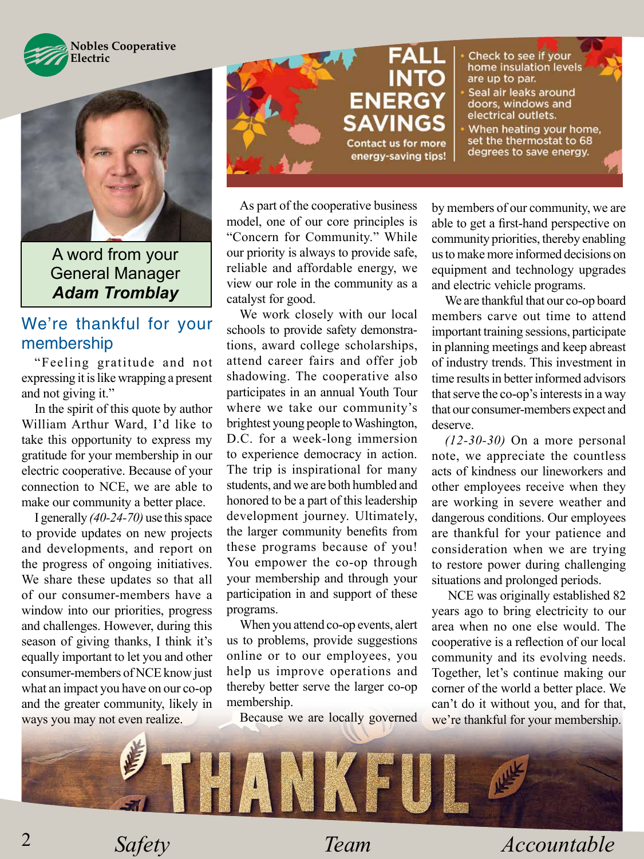



A word from your General Manager *Adam Tromblay*

## We're thankful for your membership

"Feeling gratitude and not expressing it is like wrapping a present and not giving it."

In the spirit of this quote by author William Arthur Ward, I'd like to take this opportunity to express my gratitude for your membership in our electric cooperative. Because of your connection to NCE, we are able to make our community a better place.

I generally *(40-24-70)* use this space to provide updates on new projects and developments, and report on the progress of ongoing initiatives. We share these updates so that all of our consumer-members have a window into our priorities, progress and challenges. However, during this season of giving thanks, I think it's equally important to let you and other consumer-members of NCE know just what an impact you have on our co-op and the greater community, likely in ways you may not even realize.



As part of the cooperative business model, one of our core principles is "Concern for Community." While our priority is always to provide safe, reliable and affordable energy, we view our role in the community as a catalyst for good.

We work closely with our local schools to provide safety demonstrations, award college scholarships, attend career fairs and offer job shadowing. The cooperative also participates in an annual Youth Tour where we take our community's brightest young people to Washington, D.C. for a week-long immersion to experience democracy in action. The trip is inspirational for many students, and we are both humbled and honored to be a part of this leadership development journey. Ultimately, the larger community benefits from these programs because of you! You empower the co-op through your membership and through your participation in and support of these programs.

When you attend co-op events, alert us to problems, provide suggestions online or to our employees, you help us improve operations and thereby better serve the larger co-op membership.

Because we are locally governed

by members of our community, we are able to get a first-hand perspective on community priorities, thereby enabling us to make more informed decisions on equipment and technology upgrades and electric vehicle programs.

We are thankful that our co-op board members carve out time to attend important training sessions, participate in planning meetings and keep abreast of industry trends. This investment in time results in better informed advisors that serve the co-op's interests in a way that our consumer-members expect and deserve.

*(12-30-30)* On a more personal note, we appreciate the countless acts of kindness our lineworkers and other employees receive when they are working in severe weather and dangerous conditions. Our employees are thankful for your patience and consideration when we are trying to restore power during challenging situations and prolonged periods.

 NCE was originally established 82 years ago to bring electricity to our area when no one else would. The cooperative is a reflection of our local community and its evolving needs. Together, let's continue making our corner of the world a better place. We can't do it without you, and for that, we're thankful for your membership.



*Safety Team Accountable*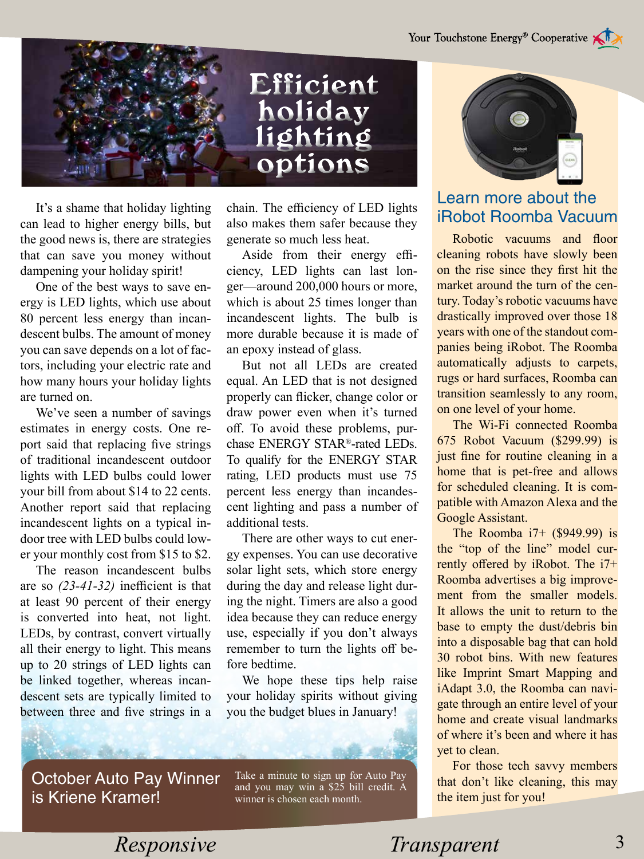

It's a shame that holiday lighting can lead to higher energy bills, but the good news is, there are strategies that can save you money without dampening your holiday spirit!

One of the best ways to save energy is LED lights, which use about 80 percent less energy than incandescent bulbs. The amount of money you can save depends on a lot of factors, including your electric rate and how many hours your holiday lights are turned on.

We've seen a number of savings estimates in energy costs. One report said that replacing five strings of traditional incandescent outdoor lights with LED bulbs could lower your bill from about \$14 to 22 cents. Another report said that replacing incandescent lights on a typical indoor tree with LED bulbs could lower your monthly cost from \$15 to \$2.

The reason incandescent bulbs are so *(23-41-32)* inefficient is that at least 90 percent of their energy is converted into heat, not light. LEDs, by contrast, convert virtually all their energy to light. This means up to 20 strings of LED lights can be linked together, whereas incandescent sets are typically limited to between three and five strings in a chain. The efficiency of LED lights also makes them safer because they generate so much less heat.

Aside from their energy efficiency, LED lights can last longer—around 200,000 hours or more, which is about 25 times longer than incandescent lights. The bulb is more durable because it is made of an epoxy instead of glass.

But not all LEDs are created equal. An LED that is not designed properly can flicker, change color or draw power even when it's turned off. To avoid these problems, purchase ENERGY STAR®-rated LEDs. To qualify for the ENERGY STAR rating, LED products must use 75 percent less energy than incandescent lighting and pass a number of additional tests.

There are other ways to cut energy expenses. You can use decorative solar light sets, which store energy during the day and release light during the night. Timers are also a good idea because they can reduce energy use, especially if you don't always remember to turn the lights off before bedtime.

We hope these tips help raise your holiday spirits without giving you the budget blues in January!



#### Learn more about the iRobot Roomba Vacuum

Robotic vacuums and floor cleaning robots have slowly been on the rise since they first hit the market around the turn of the century. Today's robotic vacuums have drastically improved over those 18 years with one of the standout companies being iRobot. The Roomba automatically adjusts to carpets, rugs or hard surfaces, Roomba can transition seamlessly to any room, on one level of your home.

The Wi-Fi connected Roomba 675 Robot Vacuum (\$299.99) is just fine for routine cleaning in a home that is pet-free and allows for scheduled cleaning. It is compatible with Amazon Alexa and the Google Assistant.

The Roomba i7+ (\$949.99) is the "top of the line" model currently offered by iRobot. The i7+ Roomba advertises a big improvement from the smaller models. It allows the unit to return to the base to empty the dust/debris bin into a disposable bag that can hold 30 robot bins. With new features like Imprint Smart Mapping and iAdapt 3.0, the Roomba can navigate through an entire level of your home and create visual landmarks of where it's been and where it has yet to clean.

For those tech savvy members that don't like cleaning, this may the item just for you!

October Auto Pay Winner is Kriene Kramer!

Take a minute to sign up for Auto Pay and you may win a \$25 bill credit. A winner is chosen each month.